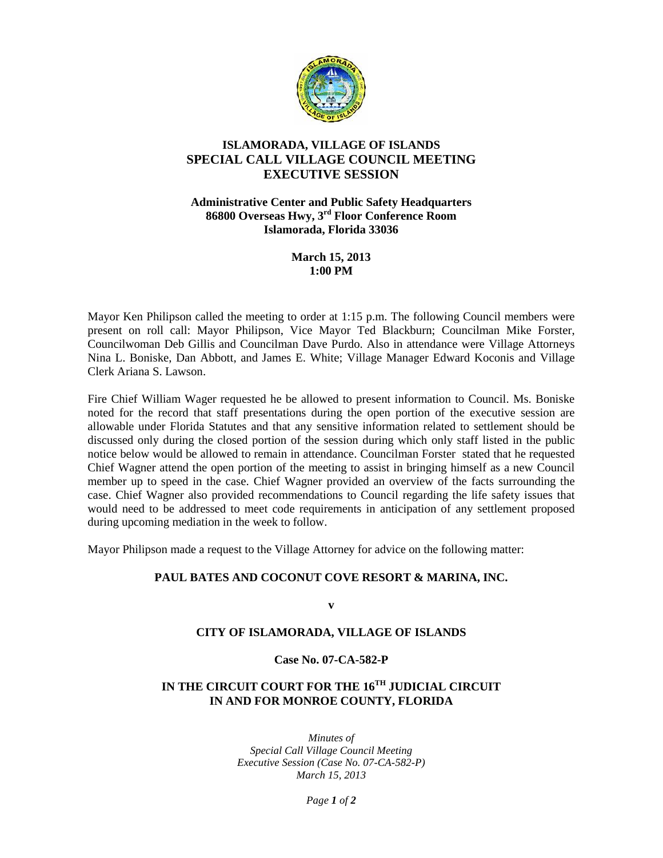

## **ISLAMORADA, VILLAGE OF ISLANDS SPECIAL CALL VILLAGE COUNCIL MEETING EXECUTIVE SESSION**

**Administrative Center and Public Safety Headquarters 86800 Overseas Hwy, 3rd Floor Conference Room Islamorada, Florida 33036**

> **March 15, 2013 1:00 PM**

Mayor Ken Philipson called the meeting to order at 1:15 p.m. The following Council members were present on roll call: Mayor Philipson, Vice Mayor Ted Blackburn; Councilman Mike Forster, Councilwoman Deb Gillis and Councilman Dave Purdo. Also in attendance were Village Attorneys Nina L. Boniske, Dan Abbott, and James E. White; Village Manager Edward Koconis and Village Clerk Ariana S. Lawson.

Fire Chief William Wager requested he be allowed to present information to Council. Ms. Boniske noted for the record that staff presentations during the open portion of the executive session are allowable under Florida Statutes and that any sensitive information related to settlement should be discussed only during the closed portion of the session during which only staff listed in the public notice below would be allowed to remain in attendance. Councilman Forster stated that he requested Chief Wagner attend the open portion of the meeting to assist in bringing himself as a new Council member up to speed in the case. Chief Wagner provided an overview of the facts surrounding the case. Chief Wagner also provided recommendations to Council regarding the life safety issues that would need to be addressed to meet code requirements in anticipation of any settlement proposed during upcoming mediation in the week to follow.

Mayor Philipson made a request to the Village Attorney for advice on the following matter:

# **PAUL BATES AND COCONUT COVE RESORT & MARINA, INC.**

**v**

### **CITY OF ISLAMORADA, VILLAGE OF ISLANDS**

#### **Case No. 07-CA-582-P**

# **IN THE CIRCUIT COURT FOR THE 16TH JUDICIAL CIRCUIT IN AND FOR MONROE COUNTY, FLORIDA**

*Minutes of Special Call Village Council Meeting Executive Session (Case No. 07-CA-582-P) March 15, 2013*

*Page 1 of 2*